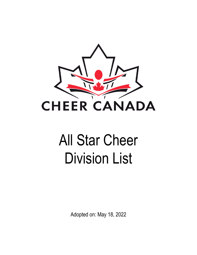

# All Star Cheer Division List

Adopted on: May 18, 2022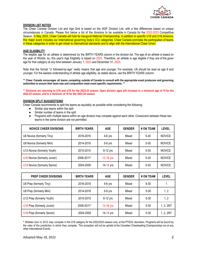

## **DIVISION LIST NOTES**

The Cheer Canada Division List and Age Grid is based on the IASF Division List, with a few differences based on unique circumstances in Canada. Please find below a list of the divisions to be available in Canada for the 2022-2023 Competitive Season. In May 2023, Cheer Canada will hold its inaugural National Championship. In addition to specific U16 and U18 divisions, this major event includes our International governing body's ICU categories. Cheer Canada promotes the participation of teams in these categories in order to get closer to international standards and to align with the International Cheer Union.

## **AGE ELIGIBILITY**

The eligible age for an athlete is determined by the BIRTH YEARS column in the division list. The age of an athlete is based on the year of Worlds; so, this year's Age Eligibility is based on 2023. Therefore, an athlete is age eligible if they are of the given age for that category at any time between January 1, 2023 and December 31, 2023.

Note that the format "U followed-by-age" really means that age and younger. For example, U8 should be read as age 8 and younger. For the easiest understanding of athlete age eligibility, as stated above, use the BIRTH YEARS column.

\*\* Cheer Canada encourages all teams competing outside of Canada to consult with the appropriate event producers and governing **authorities to ensure their team size and composition meet event specific requirements. \*\***

\*\* Divisions are returning to U16 and U18 for the 2022-23 season. Open division ages will increase to a minimum age of 15 for the **2022-23 season, and to a minimum of 16 for the 2023-24 season.**

#### **DIVISION SPLIT SUGGESTIONS**

Cheer Canada recommends to split the teams as equitably as possible while considering the following:

- Similar size teams within the split
- Similar number of teams in the split
- Programs with multiple teams within an age division may compete against each other. Crossovers between these two teams in the same division are not permitted.

| <b>NOVICE CHEER DIVISIONS</b> | <b>BIRTH YEARS</b> | <b>AGE</b>  | <b>GENDER</b> | # ON TEAM | <b>LEVEL</b>  |
|-------------------------------|--------------------|-------------|---------------|-----------|---------------|
| U6 Novice (formerly Tiny)     | 2016-2019          | $4-6$ yrs   | Mixed         | $5 - 30$  | <b>NOVICE</b> |
| U8 Novice (formerly Mini)     | 2014-2018          | 5-8 yrs     | Mixed         | $5 - 30$  | <b>NOVICE</b> |
| U12 Novice (formerly Youth)   | 2010-2015          | 8-12 yrs    | Mixed         | $5 - 30$  | <b>NOVICE</b> |
| U16 Novice (formerly Junior)  | 2006-2011*         | $12-16$ yrs | Mixed         | $5 - 30$  | <b>NOVICE</b> |
| U18 Novice (formerly Senior)  | 2004-2009          | 14-18 yrs   | Mixed         | $5 - 30$  | <b>NOVICE</b> |

| <b>PREP CHEER DIVISIONS</b> | <b>BIRTH YEARS</b> | <b>AGE</b> | <b>GENDER</b> | # ON TEAM | LEVEL     |
|-----------------------------|--------------------|------------|---------------|-----------|-----------|
| U6 Prep (formerly Tiny)     | 2016-2018          | $5-6$ yrs  | Mixed         | $5 - 30$  |           |
| U8 Prep (formerly Mini)     | 2014-2018          | $5-8$ yrs  | Mixed         | $5 - 30$  | 1, 2      |
| U12 Prep (formerly Youth)   | 2010-2015          | 8-12 yrs   | Mixed         | $5 - 30$  | 1, 2      |
| U16 Prep (formerly Junior)  | 2006-2011*         | 12-16 yrs  | Mixed         | $5 - 30$  | 1, 2, 2NT |
| U18 Prep (formerly Senior)  | 2004-2009          | 14-18 yrs  | Mixed         | $5 - 30$  | 1, 2, 2NT |

**\*** Athletes born in 2012 may compete in the U16 category for the 2022/2023 season only, at the PTSOs' discretion. Programs will be bound by the rules of the jurisdiction in which they compete. This exception will not be upheld at the Canadian Cheerleading Championships nor at any other International Events.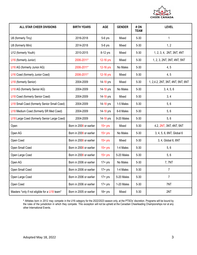

| ALL STAR CHEER DIVISIONS                      | <b>BIRTH YEARS</b>      | <b>AGE</b> | <b>GENDER</b> | # ON<br><b>TEAM</b> | <b>LEVEL</b>                      |  |
|-----------------------------------------------|-------------------------|------------|---------------|---------------------|-----------------------------------|--|
| U6 (formerly Tiny)                            | 2016-2018               | 5-6 yrs    | Mixed         | $5 - 30$            | 1                                 |  |
| U8 (formerly Mini)                            | 2014-2018               | 5-8 yrs    | Mixed         | $5 - 30$            | 1, 2                              |  |
| U12 (formerly Youth)                          | 2010-2015               | 8-12 yrs   | Mixed         | $5 - 30$            | 1, 2, 3, 4, 2NT, 3NT, 4NT         |  |
| U16 (formerly Junior)                         | 2006-2011*              | 12-16 yrs  | Mixed         | $5 - 30$            | 1, 2, 3, 2NT, 3NT, 4NT, 5NT       |  |
| U16 AG (formerly Junior AG)                   | 2006-2011*              | 12-16 yrs  | No Males      | $5 - 30$            | 4, 5                              |  |
| U16 Coed (formerly Junior Coed)               | 2006-2011*              | 12-16 yrs  | Mixed         | $5 - 30$            | 4, 5                              |  |
| U18 (formerly Senior)                         | 2004-2009               | 14-18 yrs  | Mixed         | $5 - 30$            | 1, 2,4.2, 2NT, 3NT, 4NT, 5NT, 6NT |  |
| U18 AG (formerly Senior AG)                   | 2004-2009               | 14-18 yrs  | No Males      | $5 - 30$            | 3, 4, 5, 6                        |  |
| U18 Coed (formerly Senior Coed)               | 2004-2009               | 14-18 yrs  | Mixed         | $5 - 30$            | 3, 4                              |  |
| U18 Small Coed (formerly Senior Small Coed)   | 2004-2009               | 14-18 yrs  | 1-5 Males     | $5 - 30$            | 5, 6                              |  |
| U18 Medium Coed (formerly SR Med Coed)        | 2004-2009               | 14-18 yrs  | 6-8 Males     | $5 - 30$            | 5, 6                              |  |
| U18 Large Coed (formerly Senior Large Coed)   | 2004-2009               | 14-18 yrs  | 9-20 Males    | $5 - 30$            | 5,6                               |  |
| Open                                          | Born in 2008 or earlier | $15+$ yrs  | Mixed         | $5 - 30$            | 4.2, 2NT, 3NT, 4NT, 5NT           |  |
| Open AG                                       | Born in 2008 or earlier | $15+$ yrs  | No Males      | $5 - 30$            | 3, 4, 5, 6, 6NT, Global 6         |  |
| Open Coed                                     | Born in 2008 or earlier | $15+$ yrs  | Mixed         | $5 - 30$            | 3, 4, Global 6, 6NT               |  |
| Open Small Coed                               | Born in 2008 or earlier | $15+$ yrs  | 1-4 Males     | $5 - 30$            | 5,6                               |  |
| Open Large Coed                               | Born in 2008 or earlier | $15+$ yrs  | 5-20 Males    | $5 - 30$            | 5,6                               |  |
| Open AG                                       | Born in 2006 or earlier | $17+$ yrs  | No Males      | $5 - 30$            | 7,7NT                             |  |
| Open Small Coed                               | Born in 2006 or earlier | $17+$ yrs  | 1-4 Males     | $5 - 30$            | $\overline{7}$                    |  |
| Open Large Coed                               | Born in 2006 or earlier | $17 + yrs$ | 5-20 Males    | $5 - 30$            | $\overline{7}$                    |  |
| Open Coed                                     | Born in 2006 or earlier | $17+$ yrs  | 1-20 Males    | $5 - 30$            | 7NT                               |  |
| Masters *only if not eligible for a U18 team* | Born in 2005 or earlier | $18 + yrs$ | Mixed         | $5 - 30$            | 2NT                               |  |

**\*** Athletes born in 2012 may compete in the U16 category for the 2022/2023 season only, at the PTSOs' discretion. Programs will be bound by the rules of the jurisdiction in which they compete. This exception will not be upheld at the Canadian Cheerleading Championships nor at any other International Events.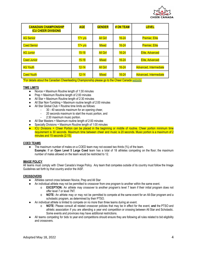

| <b>CANADIAN CHAMPIONSHIP</b><br><b>ICU CHEER DIVISIONS</b> | <b>AGE</b> | <b>GENDER</b>   | # ON TEAM | <b>LEVEL</b>           |
|------------------------------------------------------------|------------|-----------------|-----------|------------------------|
| <b>AG Senior</b>                                           | $17 + yrs$ | <b>All Girl</b> | $16 - 24$ | <b>Premier, Elite</b>  |
| <b>Coed Senior</b>                                         | $17 + yrs$ | Mixed           | $16 - 24$ | <b>Premier, Elite</b>  |
| <b>AG Junior</b>                                           | $15 - 18$  | <b>All Girl</b> | $16 - 24$ | Elite, Advanced        |
| <b>Coed Junior</b>                                         | $15 - 18$  | <b>Mixed</b>    | $16 - 24$ | Elite, Advanced        |
| <b>AG Youth</b>                                            | $12 - 14$  | <b>All Girl</b> | $16 - 24$ | Advanced, Intermediate |
| <b>Coed Youth</b>                                          | $12 - 14$  | <b>Mixed</b>    | $16 - 24$ | Advanced, Intermediate |

\*For details about the Canadian Cheerleading Championship please go to the Cheer Canada [website](https://cheercanada.ca/events/).

#### **TIME LIMITS**

- $\bullet$  Novice = Maximum Routine length of 1:30 minutes
- Prep = Maximum Routine length of 2:00 minutes
- All Star = Maximum Routine length of 2:30 minutes
- All Star Non-Tumbling = Maximum routine length of 2:00 minutes
- All Star Global Club = Routine time limits as follows:
	- 30 40 seconds maximum for an opening cheer,
	- 20 seconds maximum to start the music portion, and
	- 2:30 maximum music portion.
- All Star Masters = Maximum routine length of 2:00 minutes
- Specialty Divisions = Maximum Routine length of 1:00 minutes
- ICU Divisions = Cheer Portion can be placed in the beginning or middle of routine. Cheer portion minimum time requirement is 30 seconds. Maximum time between cheer and music is 20 seconds. Music portion is a maximum of 2 minutes and 15 seconds (2:15).

#### **COED TEAMS**

The maximum number of males on a COED team may not exceed two thirds  $(*')$  of the team. **Example:** If an **Open Level 5 Large Coed** team has a total of 18 athletes competing on the floor; the maximum number of males allowed on the team would be restricted to 12.

### **IMAGE POLICY**

All teams must comply with Cheer Canada's Image Policy. Any team that competes outside of its country must follow the Image Guidelines set forth by that country and/or the IASF.

#### **CROSSOVERS**

- Athletes cannot cross between Novice, Prep and All Star
- An individual athlete may not be permitted to crossover from one program to another within the same event.
	- o **EXCEPTION:** An athlete may crossover to another program's level 7 team if their initial program does not offer level 7 or level 7NT.
	- o **NOTE:** An athlete may or may not be permitted to compete at the same event for an All-Star program and a scholastic program, as determined by their PTSO.
- An individual athlete is limited to compete on no more than three teams during an event.
	- o **NOTE:** Please consult all related crossover policies that may be in effect for the event, **and** the PTSO and athletic association if you are attending a year end competition or crossing between All Star and Scholastic. Some events and provinces may have additional restrictions.
- All teams competing for bids to year end competitions should ensure they are following all rules related to bid eligibility and crossovers.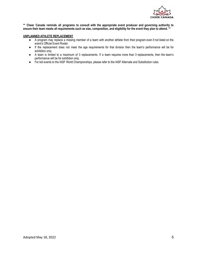

\*\* Cheer Canada reminds all programs to consult with the appropriate event producer and governing authority to ensure their team meets all requirements such as size, composition, and eligibility for the event they plan to attend. \*\*

## **UNPLANNED ATHLETE REPLACEMENT**

- A program may replace a missing member of a team with another athlete from their program even if not listed on the event's Official Event Roster.
- If the replacement does not meet the age requirements for that division then the team's performance will be for exhibition only.
- A team is limited to a maximum of 3 replacements. If a team requires more than 3 replacements, then the team's performance will be for exhibition only.
- For bid events to the IASF World Championships, please refer to the IASF Alternate and Substitution rules.